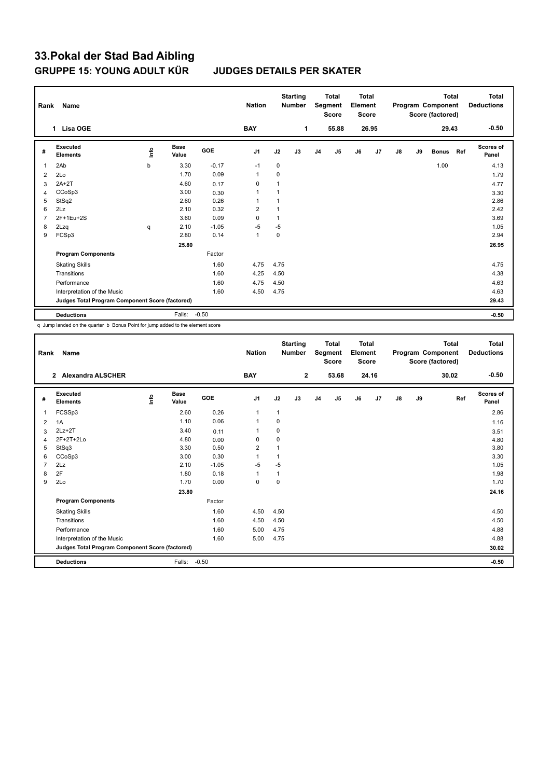## **33.Pokal der Stad Bad Aibling GRUPPE 15: YOUNG ADULT KÜR JUDGES DETAILS PER SKATER**

| Rank                                            | Name                        |      |                      |            | <b>Nation</b>  |             | <b>Starting</b><br><b>Number</b> |                | <b>Total</b><br>Segment<br><b>Score</b> | Total<br>Element<br><b>Score</b> |       |    |    | <b>Total</b><br>Program Component<br>Score (factored) |     | Total<br><b>Deductions</b> |
|-------------------------------------------------|-----------------------------|------|----------------------|------------|----------------|-------------|----------------------------------|----------------|-----------------------------------------|----------------------------------|-------|----|----|-------------------------------------------------------|-----|----------------------------|
|                                                 | 1 Lisa OGE                  |      |                      |            | <b>BAY</b>     |             | 1                                |                | 55.88                                   |                                  | 26.95 |    |    | 29.43                                                 |     | $-0.50$                    |
| #                                               | Executed<br><b>Elements</b> | lnfo | <b>Base</b><br>Value | <b>GOE</b> | J1             | J2          | J3                               | J <sub>4</sub> | J5                                      | J6                               | J7    | J8 | J9 | <b>Bonus</b>                                          | Ref | <b>Scores of</b><br>Panel  |
| 1                                               | 2Ab                         | b    | 3.30                 | $-0.17$    | $-1$           | $\mathbf 0$ |                                  |                |                                         |                                  |       |    |    | 1.00                                                  |     | 4.13                       |
| 2                                               | 2Lo                         |      | 1.70                 | 0.09       | $\overline{1}$ | $\mathbf 0$ |                                  |                |                                         |                                  |       |    |    |                                                       |     | 1.79                       |
| 3                                               | $2A+2T$                     |      | 4.60                 | 0.17       | 0              |             |                                  |                |                                         |                                  |       |    |    |                                                       |     | 4.77                       |
| $\overline{4}$                                  | CCoSp3                      |      | 3.00                 | 0.30       | -1             |             |                                  |                |                                         |                                  |       |    |    |                                                       |     | 3.30                       |
| 5                                               | StSq2                       |      | 2.60                 | 0.26       | 1              |             |                                  |                |                                         |                                  |       |    |    |                                                       |     | 2.86                       |
| 6                                               | 2Lz                         |      | 2.10                 | 0.32       | 2              |             |                                  |                |                                         |                                  |       |    |    |                                                       |     | 2.42                       |
| $\overline{7}$                                  | 2F+1Eu+2S                   |      | 3.60                 | 0.09       | $\mathbf 0$    |             |                                  |                |                                         |                                  |       |    |    |                                                       |     | 3.69                       |
| 8                                               | 2Lzq                        | q    | 2.10                 | $-1.05$    | $-5$           | $-5$        |                                  |                |                                         |                                  |       |    |    |                                                       |     | 1.05                       |
| 9                                               | FCSp3                       |      | 2.80                 | 0.14       | $\overline{1}$ | $\mathbf 0$ |                                  |                |                                         |                                  |       |    |    |                                                       |     | 2.94                       |
|                                                 |                             |      | 25.80                |            |                |             |                                  |                |                                         |                                  |       |    |    |                                                       |     | 26.95                      |
|                                                 | <b>Program Components</b>   |      |                      | Factor     |                |             |                                  |                |                                         |                                  |       |    |    |                                                       |     |                            |
|                                                 | <b>Skating Skills</b>       |      |                      | 1.60       | 4.75           | 4.75        |                                  |                |                                         |                                  |       |    |    |                                                       |     | 4.75                       |
|                                                 | Transitions                 |      |                      | 1.60       | 4.25           | 4.50        |                                  |                |                                         |                                  |       |    |    |                                                       |     | 4.38                       |
|                                                 | Performance                 |      |                      | 1.60       | 4.75           | 4.50        |                                  |                |                                         |                                  |       |    |    |                                                       |     | 4.63                       |
|                                                 | Interpretation of the Music |      |                      | 1.60       | 4.50           | 4.75        |                                  |                |                                         |                                  |       |    |    |                                                       |     | 4.63                       |
| Judges Total Program Component Score (factored) |                             |      |                      |            |                |             |                                  |                |                                         |                                  | 29.43 |    |    |                                                       |     |                            |
|                                                 | <b>Deductions</b>           |      | Falls:               | $-0.50$    |                |             |                                  |                |                                         |                                  |       |    |    |                                                       |     | $-0.50$                    |

q Jump landed on the quarter b Bonus Point for jump added to the element score

| Rank | <b>Name</b>                                     |    |                      |         | <b>Nation</b>  |      | <b>Starting</b><br><b>Number</b> |                | <b>Total</b><br>Segment<br><b>Score</b> | <b>Total</b><br>Element<br><b>Score</b> |       |               |    | <b>Total</b><br>Program Component<br>Score (factored) | <b>Total</b><br><b>Deductions</b> |
|------|-------------------------------------------------|----|----------------------|---------|----------------|------|----------------------------------|----------------|-----------------------------------------|-----------------------------------------|-------|---------------|----|-------------------------------------------------------|-----------------------------------|
|      | <b>Alexandra ALSCHER</b><br>$\overline{2}$      |    |                      |         | <b>BAY</b>     |      | $\overline{2}$                   |                | 53.68                                   |                                         | 24.16 |               |    | 30.02                                                 | $-0.50$                           |
| #    | Executed<br><b>Elements</b>                     | ۴ů | <b>Base</b><br>Value | GOE     | J1             | J2   | J3                               | J <sub>4</sub> | J5                                      | J6                                      | J7    | $\mathsf{J}8$ | J9 | Ref                                                   | Scores of<br>Panel                |
| 1    | FCSSp3                                          |    | 2.60                 | 0.26    | 1              | 1    |                                  |                |                                         |                                         |       |               |    |                                                       | 2.86                              |
| 2    | 1A                                              |    | 1.10                 | 0.06    | $\mathbf{1}$   | 0    |                                  |                |                                         |                                         |       |               |    |                                                       | 1.16                              |
| 3    | $2Lz+2T$                                        |    | 3.40                 | 0.11    | $\mathbf{1}$   | 0    |                                  |                |                                         |                                         |       |               |    |                                                       | 3.51                              |
| 4    | 2F+2T+2Lo                                       |    | 4.80                 | 0.00    | 0              | 0    |                                  |                |                                         |                                         |       |               |    |                                                       | 4.80                              |
| 5    | StSq3                                           |    | 3.30                 | 0.50    | $\overline{2}$ | 1    |                                  |                |                                         |                                         |       |               |    |                                                       | 3.80                              |
| 6    | CCoSp3                                          |    | 3.00                 | 0.30    | $\mathbf{1}$   |      |                                  |                |                                         |                                         |       |               |    |                                                       | 3.30                              |
| 7    | 2Lz                                             |    | 2.10                 | $-1.05$ | $-5$           | $-5$ |                                  |                |                                         |                                         |       |               |    |                                                       | 1.05                              |
| 8    | 2F                                              |    | 1.80                 | 0.18    | $\mathbf{1}$   | 1    |                                  |                |                                         |                                         |       |               |    |                                                       | 1.98                              |
| 9    | 2Lo                                             |    | 1.70                 | 0.00    | $\mathbf 0$    | 0    |                                  |                |                                         |                                         |       |               |    |                                                       | 1.70                              |
|      |                                                 |    | 23.80                |         |                |      |                                  |                |                                         |                                         |       |               |    |                                                       | 24.16                             |
|      | <b>Program Components</b>                       |    |                      | Factor  |                |      |                                  |                |                                         |                                         |       |               |    |                                                       |                                   |
|      | <b>Skating Skills</b>                           |    |                      | 1.60    | 4.50           | 4.50 |                                  |                |                                         |                                         |       |               |    |                                                       | 4.50                              |
|      | Transitions                                     |    |                      | 1.60    | 4.50           | 4.50 |                                  |                |                                         |                                         |       |               |    |                                                       | 4.50                              |
|      | Performance                                     |    |                      | 1.60    | 5.00           | 4.75 |                                  |                |                                         |                                         |       |               |    |                                                       | 4.88                              |
|      | Interpretation of the Music                     |    |                      | 1.60    | 5.00           | 4.75 |                                  |                |                                         |                                         |       |               |    |                                                       | 4.88                              |
|      | Judges Total Program Component Score (factored) |    |                      |         |                |      |                                  |                |                                         |                                         |       |               |    |                                                       | 30.02                             |
|      | <b>Deductions</b>                               |    | Falls:               | $-0.50$ |                |      |                                  |                |                                         |                                         |       |               |    |                                                       | $-0.50$                           |